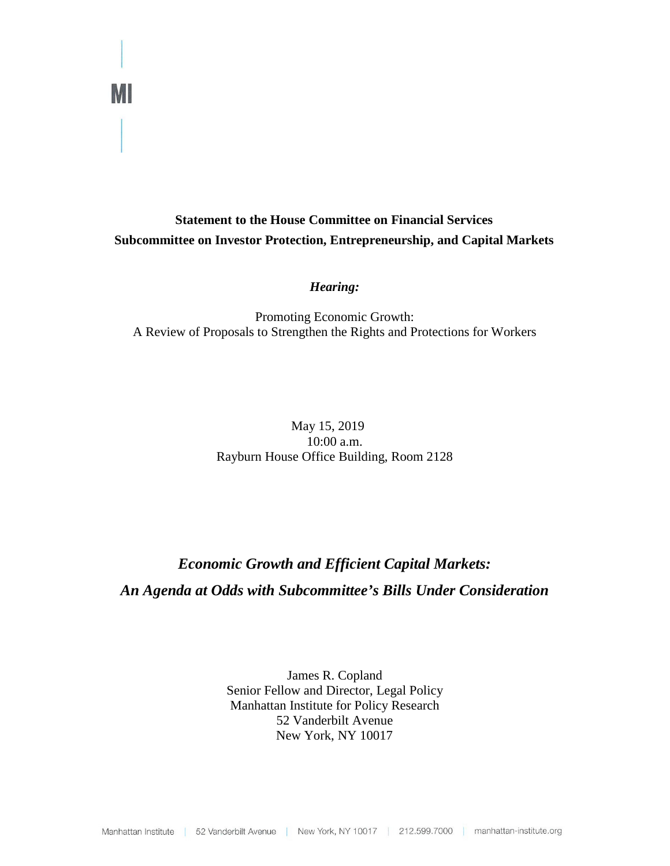## **Statement to the House Committee on Financial Services Subcommittee on Investor Protection, Entrepreneurship, and Capital Markets**

## *Hearing:*

Promoting Economic Growth: A Review of Proposals to Strengthen the Rights and Protections for Workers

## May 15, 2019 10:00 a.m. Rayburn House Office Building, Room 2128

# *Economic Growth and Efficient Capital Markets: An Agenda at Odds with Subcommittee's Bills Under Consideration*

James R. Copland Senior Fellow and Director, Legal Policy Manhattan Institute for Policy Research 52 Vanderbilt Avenue New York, NY 10017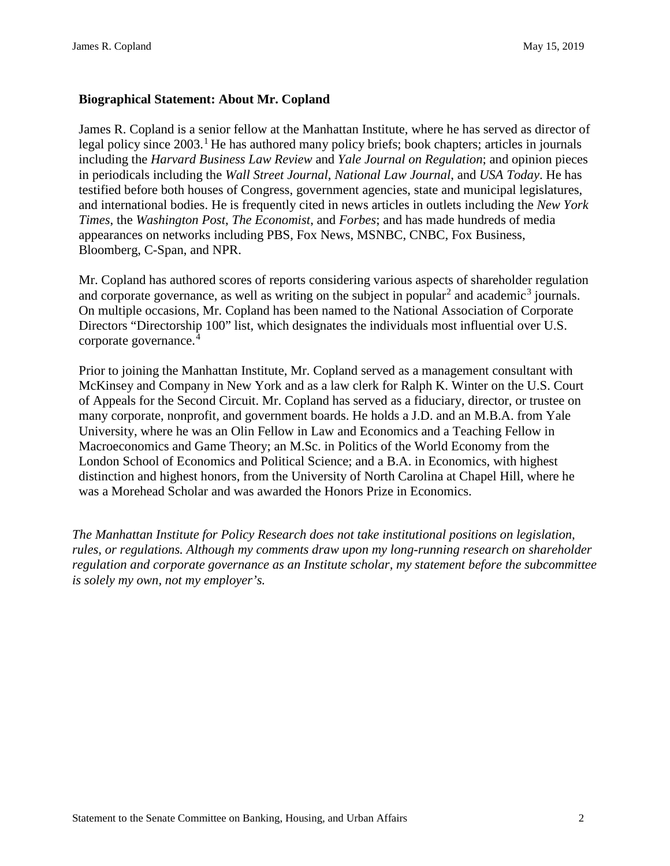## **Biographical Statement: About Mr. Copland**

James R. Copland is a senior fellow at the Manhattan Institute, where he has served as director of legal policy since  $2003$ .<sup>[1](#page-11-0)</sup> He has authored many policy briefs; book chapters; articles in journals including the *Harvard Business Law Review* and *Yale Journal on Regulation*; and opinion pieces in periodicals including the *Wall Street Journal*, *National Law Journal*, and *USA Today*. He has testified before both houses of Congress, government agencies, state and municipal legislatures, and international bodies. He is frequently cited in news articles in outlets including the *New York Times*, the *Washington Post*, *The Economist*, and *Forbes*; and has made hundreds of media appearances on networks including PBS, Fox News, MSNBC, CNBC, Fox Business, Bloomberg, C-Span, and NPR.

Mr. Copland has authored scores of reports considering various aspects of shareholder regulation and corporate governance, as well as writing on the subject in popular<sup>[2](#page-11-1)</sup> and academic<sup>[3](#page-11-2)</sup> journals. On multiple occasions, Mr. Copland has been named to the National Association of Corporate Directors "Directorship 100" list, which designates the individuals most influential over U.S. corporate governance.[4](#page-11-3)

Prior to joining the Manhattan Institute, Mr. Copland served as a management consultant with McKinsey and Company in New York and as a law clerk for Ralph K. Winter on the U.S. Court of Appeals for the Second Circuit. Mr. Copland has served as a fiduciary, director, or trustee on many corporate, nonprofit, and government boards. He holds a J.D. and an M.B.A. from Yale University, where he was an Olin Fellow in Law and Economics and a Teaching Fellow in Macroeconomics and Game Theory; an M.Sc. in Politics of the World Economy from the London School of Economics and Political Science; and a B.A. in Economics, with highest distinction and highest honors, from the University of North Carolina at Chapel Hill, where he was a Morehead Scholar and was awarded the Honors Prize in Economics.

*The Manhattan Institute for Policy Research does not take institutional positions on legislation, rules, or regulations. Although my comments draw upon my long-running research on shareholder regulation and corporate governance as an Institute scholar, my statement before the subcommittee is solely my own, not my employer's.*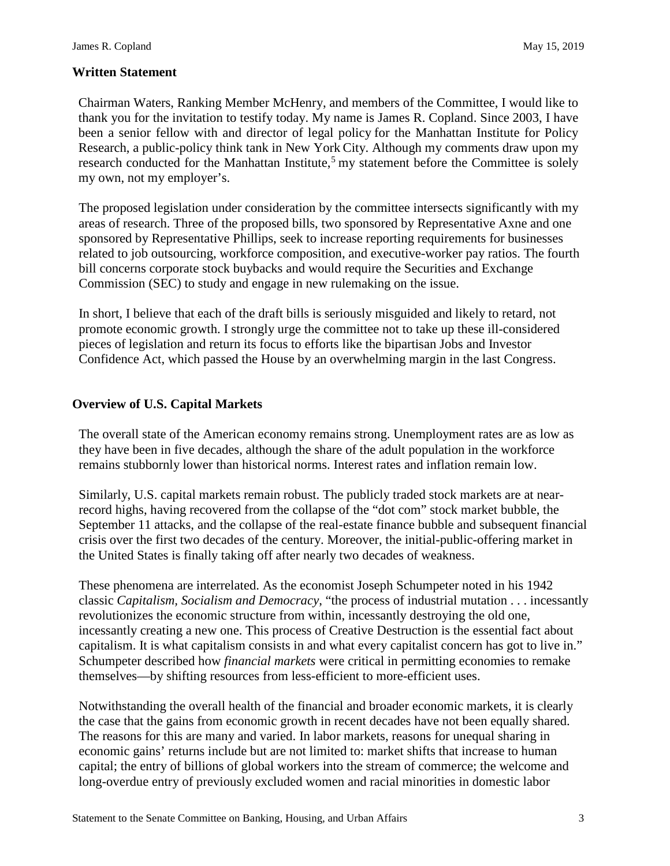## **Written Statement**

Chairman Waters, Ranking Member McHenry, and members of the Committee, I would like to thank you for the invitation to testify today. My name is James R. Copland. Since 2003, I have been a senior fellow with and director of legal policy for the Manhattan Institute for Policy Research, a public-policy think tank in New York City. Although my comments draw upon my research conducted for the Manhattan Institute,<sup>[5](#page-11-4)</sup> my statement before the Committee is solely my own, not my employer's.

The proposed legislation under consideration by the committee intersects significantly with my areas of research. Three of the proposed bills, two sponsored by Representative Axne and one sponsored by Representative Phillips, seek to increase reporting requirements for businesses related to job outsourcing, workforce composition, and executive-worker pay ratios. The fourth bill concerns corporate stock buybacks and would require the Securities and Exchange Commission (SEC) to study and engage in new rulemaking on the issue.

In short, I believe that each of the draft bills is seriously misguided and likely to retard, not promote economic growth. I strongly urge the committee not to take up these ill-considered pieces of legislation and return its focus to efforts like the bipartisan Jobs and Investor Confidence Act, which passed the House by an overwhelming margin in the last Congress.

## **Overview of U.S. Capital Markets**

The overall state of the American economy remains strong. Unemployment rates are as low as they have been in five decades, although the share of the adult population in the workforce remains stubbornly lower than historical norms. Interest rates and inflation remain low.

Similarly, U.S. capital markets remain robust. The publicly traded stock markets are at nearrecord highs, having recovered from the collapse of the "dot com" stock market bubble, the September 11 attacks, and the collapse of the real-estate finance bubble and subsequent financial crisis over the first two decades of the century. Moreover, the initial-public-offering market in the United States is finally taking off after nearly two decades of weakness.

These phenomena are interrelated. As the economist Joseph Schumpeter noted in his 1942 classic *Capitalism, Socialism and Democracy*, "the process of industrial mutation . . . incessantly revolutionizes the economic structure from within, incessantly destroying the old one, incessantly creating a new one. This process of Creative Destruction is the essential fact about capitalism. It is what capitalism consists in and what every capitalist concern has got to live in." Schumpeter described how *financial markets* were critical in permitting economies to remake themselves—by shifting resources from less-efficient to more-efficient uses.

Notwithstanding the overall health of the financial and broader economic markets, it is clearly the case that the gains from economic growth in recent decades have not been equally shared. The reasons for this are many and varied. In labor markets, reasons for unequal sharing in economic gains' returns include but are not limited to: market shifts that increase to human capital; the entry of billions of global workers into the stream of commerce; the welcome and long-overdue entry of previously excluded women and racial minorities in domestic labor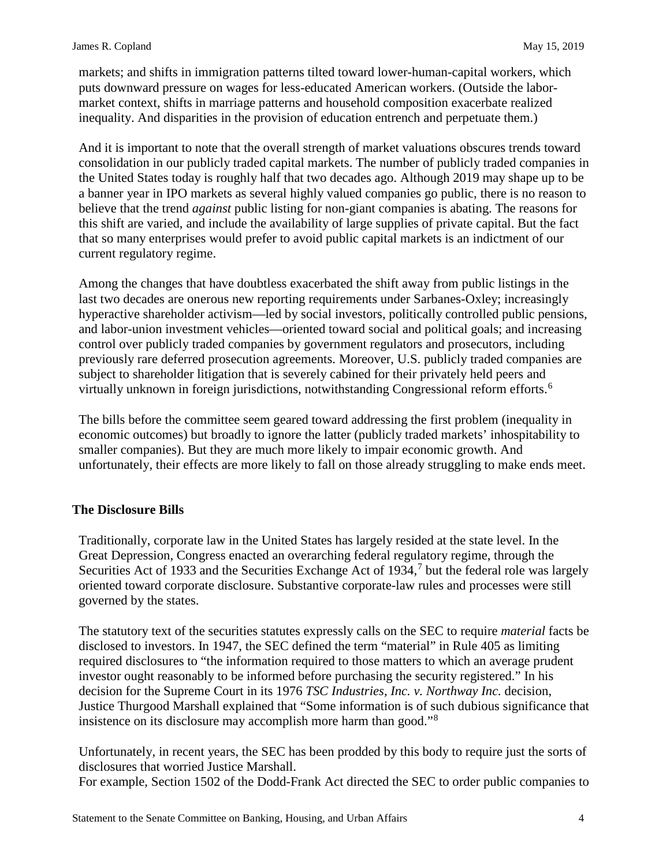markets; and shifts in immigration patterns tilted toward lower-human-capital workers, which puts downward pressure on wages for less-educated American workers. (Outside the labormarket context, shifts in marriage patterns and household composition exacerbate realized inequality. And disparities in the provision of education entrench and perpetuate them.)

And it is important to note that the overall strength of market valuations obscures trends toward consolidation in our publicly traded capital markets. The number of publicly traded companies in the United States today is roughly half that two decades ago. Although 2019 may shape up to be a banner year in IPO markets as several highly valued companies go public, there is no reason to believe that the trend *against* public listing for non-giant companies is abating. The reasons for this shift are varied, and include the availability of large supplies of private capital. But the fact that so many enterprises would prefer to avoid public capital markets is an indictment of our current regulatory regime.

Among the changes that have doubtless exacerbated the shift away from public listings in the last two decades are onerous new reporting requirements under Sarbanes-Oxley; increasingly hyperactive shareholder activism—led by social investors, politically controlled public pensions, and labor-union investment vehicles—oriented toward social and political goals; and increasing control over publicly traded companies by government regulators and prosecutors, including previously rare deferred prosecution agreements. Moreover, U.S. publicly traded companies are subject to shareholder litigation that is severely cabined for their privately held peers and virtually unknown in foreign jurisdictions, notwithstanding Congressional reform efforts.<sup>[6](#page-11-5)</sup>

The bills before the committee seem geared toward addressing the first problem (inequality in economic outcomes) but broadly to ignore the latter (publicly traded markets' inhospitability to smaller companies). But they are much more likely to impair economic growth. And unfortunately, their effects are more likely to fall on those already struggling to make ends meet.

## **The Disclosure Bills**

Traditionally, corporate law in the United States has largely resided at the state level. In the Great Depression, Congress enacted an overarching federal regulatory regime, through the Securities Act of 1933 and the Securities Exchange Act of 1934, $<sup>7</sup>$  $<sup>7</sup>$  $<sup>7</sup>$  but the federal role was largely</sup> oriented toward corporate disclosure. Substantive corporate-law rules and processes were still governed by the states.

The statutory text of the securities statutes expressly calls on the SEC to require *material* facts be disclosed to investors. In 1947, the SEC defined the term "material" in Rule 405 as limiting required disclosures to "the information required to those matters to which an average prudent investor ought reasonably to be informed before purchasing the security registered." In his decision for the Supreme Court in its 1976 *TSC Industries, Inc. v. Northway Inc.* decision, Justice Thurgood Marshall explained that "Some information is of such dubious significance that insistence on its disclosure may accomplish more harm than good."[8](#page-11-7)

Unfortunately, in recent years, the SEC has been prodded by this body to require just the sorts of disclosures that worried Justice Marshall. For example, Section 1502 of the Dodd-Frank Act directed the SEC to order public companies to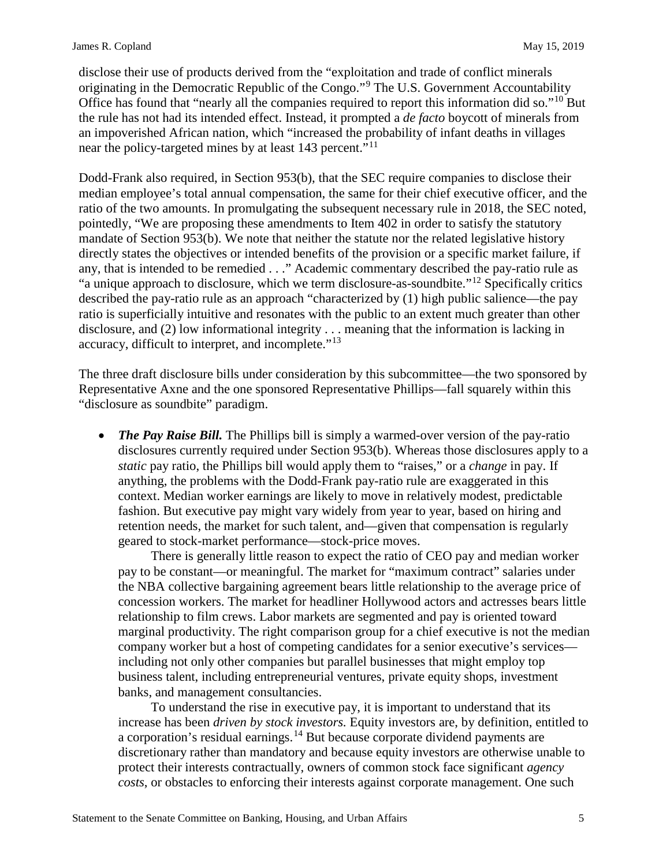disclose their use of products derived from the "exploitation and trade of conflict minerals originating in the Democratic Republic of the Congo."[9](#page-11-8) The U.S. Government Accountability Office has found that "nearly all the companies required to report this information did so."[10](#page-11-9) But the rule has not had its intended effect. Instead, it prompted a *de facto* boycott of minerals from an impoverished African nation, which "increased the probability of infant deaths in villages near the policy-targeted mines by at least 143 percent."<sup>[11](#page-11-10)</sup>

Dodd-Frank also required, in Section 953(b), that the SEC require companies to disclose their median employee's total annual compensation, the same for their chief executive officer, and the ratio of the two amounts. In promulgating the subsequent necessary rule in 2018, the SEC noted, pointedly, "We are proposing these amendments to Item 402 in order to satisfy the statutory mandate of Section 953(b). We note that neither the statute nor the related legislative history directly states the objectives or intended benefits of the provision or a specific market failure, if any, that is intended to be remedied . . ." Academic commentary described the pay-ratio rule as "a unique approach to disclosure, which we term disclosure-as-soundbite."[12](#page-11-11) Specifically critics described the pay-ratio rule as an approach "characterized by (1) high public salience—the pay ratio is superficially intuitive and resonates with the public to an extent much greater than other disclosure, and (2) low informational integrity . . . meaning that the information is lacking in accuracy, difficult to interpret, and incomplete."<sup>[13](#page-11-12)</sup>

The three draft disclosure bills under consideration by this subcommittee—the two sponsored by Representative Axne and the one sponsored Representative Phillips—fall squarely within this "disclosure as soundbite" paradigm.

*The Pay Raise Bill.* The Phillips bill is simply a warmed-over version of the pay-ratio disclosures currently required under Section 953(b). Whereas those disclosures apply to a *static* pay ratio, the Phillips bill would apply them to "raises," or a *change* in pay. If anything, the problems with the Dodd-Frank pay-ratio rule are exaggerated in this context. Median worker earnings are likely to move in relatively modest, predictable fashion. But executive pay might vary widely from year to year, based on hiring and retention needs, the market for such talent, and—given that compensation is regularly geared to stock-market performance—stock-price moves.

There is generally little reason to expect the ratio of CEO pay and median worker pay to be constant—or meaningful. The market for "maximum contract" salaries under the NBA collective bargaining agreement bears little relationship to the average price of concession workers. The market for headliner Hollywood actors and actresses bears little relationship to film crews. Labor markets are segmented and pay is oriented toward marginal productivity. The right comparison group for a chief executive is not the median company worker but a host of competing candidates for a senior executive's services including not only other companies but parallel businesses that might employ top business talent, including entrepreneurial ventures, private equity shops, investment banks, and management consultancies.

To understand the rise in executive pay, it is important to understand that its increase has been *driven by stock investors.* Equity investors are, by definition, entitled to a corporation's residual earnings.<sup>[14](#page-11-13)</sup> But because corporate dividend payments are discretionary rather than mandatory and because equity investors are otherwise unable to protect their interests contractually, owners of common stock face significant *agency costs*, or obstacles to enforcing their interests against corporate management. One such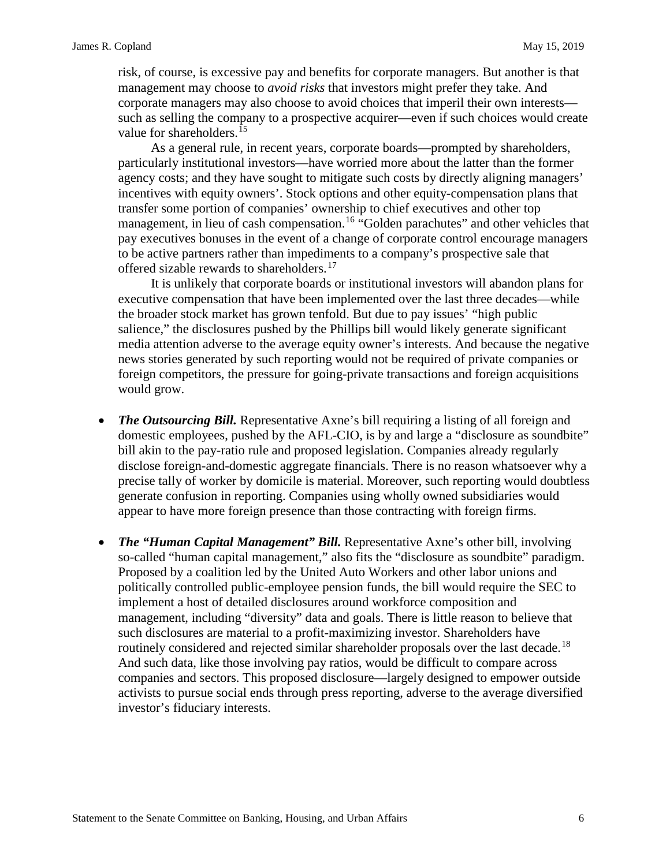risk, of course, is excessive pay and benefits for corporate managers. But another is that management may choose to *avoid risks* that investors might prefer they take. And corporate managers may also choose to avoid choices that imperil their own interests such as selling the company to a prospective acquirer—even if such choices would create value for shareholders.<sup>[15](#page-11-14)</sup>

As a general rule, in recent years, corporate boards—prompted by shareholders, particularly institutional investors—have worried more about the latter than the former agency costs; and they have sought to mitigate such costs by directly aligning managers' incentives with equity owners'. Stock options and other equity-compensation plans that transfer some portion of companies' ownership to chief executives and other top management, in lieu of cash compensation.<sup>[16](#page-11-15)</sup> "Golden parachutes" and other vehicles that pay executives bonuses in the event of a change of corporate control encourage managers to be active partners rather than impediments to a company's prospective sale that offered sizable rewards to shareholders.<sup>[17](#page-11-16)</sup>

It is unlikely that corporate boards or institutional investors will abandon plans for executive compensation that have been implemented over the last three decades—while the broader stock market has grown tenfold. But due to pay issues' "high public salience," the disclosures pushed by the Phillips bill would likely generate significant media attention adverse to the average equity owner's interests. And because the negative news stories generated by such reporting would not be required of private companies or foreign competitors, the pressure for going-private transactions and foreign acquisitions would grow.

- *The Outsourcing Bill.* Representative Axne's bill requiring a listing of all foreign and domestic employees, pushed by the AFL-CIO, is by and large a "disclosure as soundbite" bill akin to the pay-ratio rule and proposed legislation. Companies already regularly disclose foreign-and-domestic aggregate financials. There is no reason whatsoever why a precise tally of worker by domicile is material. Moreover, such reporting would doubtless generate confusion in reporting. Companies using wholly owned subsidiaries would appear to have more foreign presence than those contracting with foreign firms.
- *The "Human Capital Management" Bill.* Representative Axne's other bill, involving so-called "human capital management," also fits the "disclosure as soundbite" paradigm. Proposed by a coalition led by the United Auto Workers and other labor unions and politically controlled public-employee pension funds, the bill would require the SEC to implement a host of detailed disclosures around workforce composition and management, including "diversity" data and goals. There is little reason to believe that such disclosures are material to a profit-maximizing investor. Shareholders have routinely considered and rejected similar shareholder proposals over the last decade.<sup>[18](#page-11-17)</sup> And such data, like those involving pay ratios, would be difficult to compare across companies and sectors. This proposed disclosure—largely designed to empower outside activists to pursue social ends through press reporting, adverse to the average diversified investor's fiduciary interests.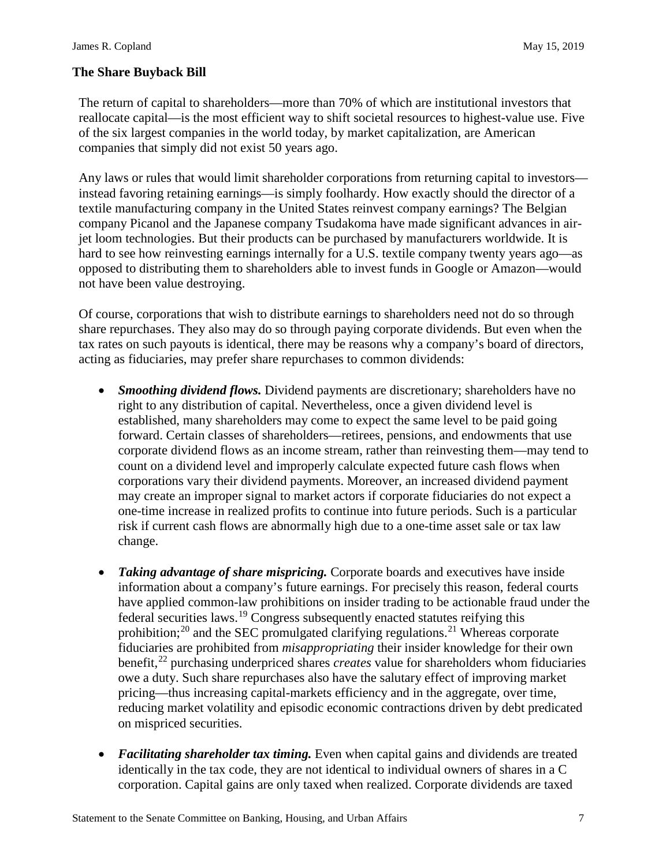## **The Share Buyback Bill**

The return of capital to shareholders—more than 70% of which are institutional investors that reallocate capital—is the most efficient way to shift societal resources to highest-value use. Five of the six largest companies in the world today, by market capitalization, are American companies that simply did not exist 50 years ago.

Any laws or rules that would limit shareholder corporations from returning capital to investors instead favoring retaining earnings—is simply foolhardy. How exactly should the director of a textile manufacturing company in the United States reinvest company earnings? The Belgian company Picanol and the Japanese company Tsudakoma have made significant advances in airjet loom technologies. But their products can be purchased by manufacturers worldwide. It is hard to see how reinvesting earnings internally for a U.S. textile company twenty years ago—as opposed to distributing them to shareholders able to invest funds in Google or Amazon—would not have been value destroying.

Of course, corporations that wish to distribute earnings to shareholders need not do so through share repurchases. They also may do so through paying corporate dividends. But even when the tax rates on such payouts is identical, there may be reasons why a company's board of directors, acting as fiduciaries, may prefer share repurchases to common dividends:

- *Smoothing dividend flows.* Dividend payments are discretionary; shareholders have no right to any distribution of capital. Nevertheless, once a given dividend level is established, many shareholders may come to expect the same level to be paid going forward. Certain classes of shareholders—retirees, pensions, and endowments that use corporate dividend flows as an income stream, rather than reinvesting them—may tend to count on a dividend level and improperly calculate expected future cash flows when corporations vary their dividend payments. Moreover, an increased dividend payment may create an improper signal to market actors if corporate fiduciaries do not expect a one-time increase in realized profits to continue into future periods. Such is a particular risk if current cash flows are abnormally high due to a one-time asset sale or tax law change.
- *Taking advantage of share mispricing.* Corporate boards and executives have inside information about a company's future earnings. For precisely this reason, federal courts have applied common-law prohibitions on insider trading to be actionable fraud under the federal securities laws.[19](#page-11-18) Congress subsequently enacted statutes reifying this prohibition;<sup>[20](#page-11-19)</sup> and the SEC promulgated clarifying regulations.<sup>[21](#page-11-20)</sup> Whereas corporate fiduciaries are prohibited from *misappropriating* their insider knowledge for their own benefit,<sup>[22](#page-11-21)</sup> purchasing underpriced shares *creates* value for shareholders whom fiduciaries owe a duty. Such share repurchases also have the salutary effect of improving market pricing—thus increasing capital-markets efficiency and in the aggregate, over time, reducing market volatility and episodic economic contractions driven by debt predicated on mispriced securities.
- *Facilitating shareholder tax timing.* Even when capital gains and dividends are treated identically in the tax code, they are not identical to individual owners of shares in a C corporation. Capital gains are only taxed when realized. Corporate dividends are taxed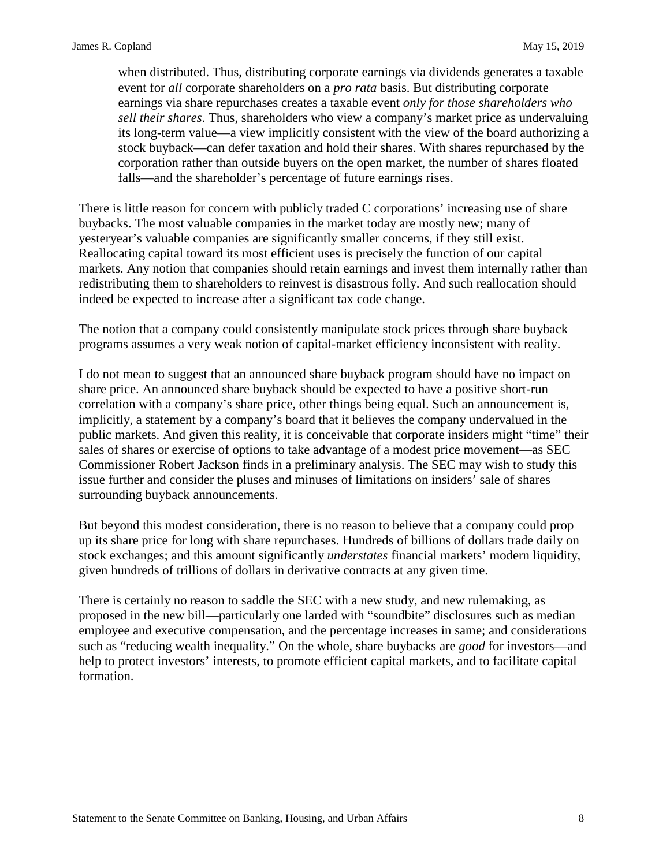when distributed. Thus, distributing corporate earnings via dividends generates a taxable event for *all* corporate shareholders on a *pro rata* basis. But distributing corporate earnings via share repurchases creates a taxable event *only for those shareholders who sell their shares*. Thus, shareholders who view a company's market price as undervaluing its long-term value—a view implicitly consistent with the view of the board authorizing a stock buyback—can defer taxation and hold their shares. With shares repurchased by the corporation rather than outside buyers on the open market, the number of shares floated falls—and the shareholder's percentage of future earnings rises.

There is little reason for concern with publicly traded C corporations' increasing use of share buybacks. The most valuable companies in the market today are mostly new; many of yesteryear's valuable companies are significantly smaller concerns, if they still exist. Reallocating capital toward its most efficient uses is precisely the function of our capital markets. Any notion that companies should retain earnings and invest them internally rather than redistributing them to shareholders to reinvest is disastrous folly. And such reallocation should indeed be expected to increase after a significant tax code change.

The notion that a company could consistently manipulate stock prices through share buyback programs assumes a very weak notion of capital-market efficiency inconsistent with reality.

I do not mean to suggest that an announced share buyback program should have no impact on share price. An announced share buyback should be expected to have a positive short-run correlation with a company's share price, other things being equal. Such an announcement is, implicitly, a statement by a company's board that it believes the company undervalued in the public markets. And given this reality, it is conceivable that corporate insiders might "time" their sales of shares or exercise of options to take advantage of a modest price movement—as SEC Commissioner Robert Jackson finds in a preliminary analysis. The SEC may wish to study this issue further and consider the pluses and minuses of limitations on insiders' sale of shares surrounding buyback announcements.

But beyond this modest consideration, there is no reason to believe that a company could prop up its share price for long with share repurchases. Hundreds of billions of dollars trade daily on stock exchanges; and this amount significantly *understates* financial markets' modern liquidity, given hundreds of trillions of dollars in derivative contracts at any given time.

There is certainly no reason to saddle the SEC with a new study, and new rulemaking, as proposed in the new bill—particularly one larded with "soundbite" disclosures such as median employee and executive compensation, and the percentage increases in same; and considerations such as "reducing wealth inequality." On the whole, share buybacks are *good* for investors—and help to protect investors' interests, to promote efficient capital markets, and to facilitate capital formation.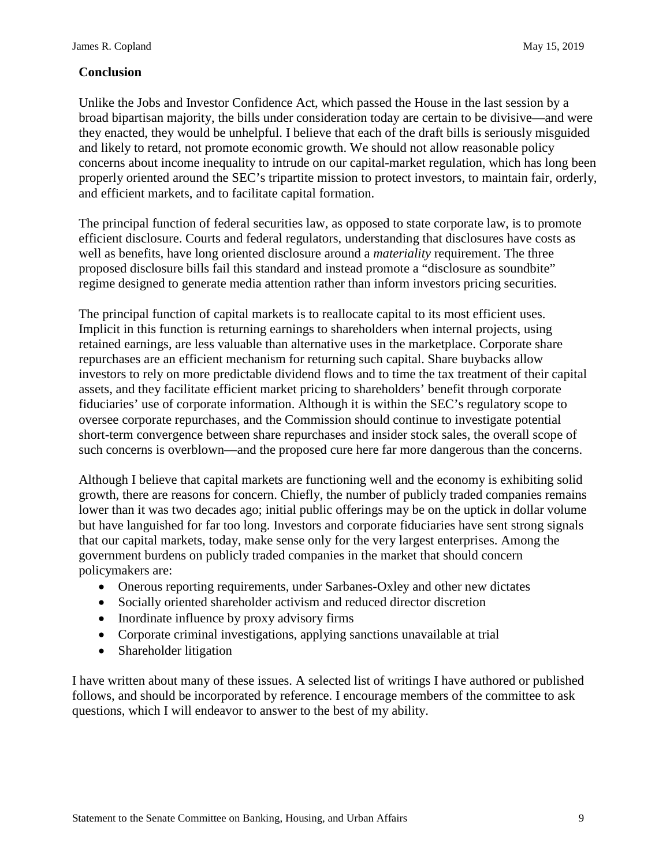## **Conclusion**

Unlike the Jobs and Investor Confidence Act, which passed the House in the last session by a broad bipartisan majority, the bills under consideration today are certain to be divisive—and were they enacted, they would be unhelpful. I believe that each of the draft bills is seriously misguided and likely to retard, not promote economic growth. We should not allow reasonable policy concerns about income inequality to intrude on our capital-market regulation, which has long been properly oriented around the SEC's tripartite mission to protect investors, to maintain fair, orderly, and efficient markets, and to facilitate capital formation.

The principal function of federal securities law, as opposed to state corporate law, is to promote efficient disclosure. Courts and federal regulators, understanding that disclosures have costs as well as benefits, have long oriented disclosure around a *materiality* requirement. The three proposed disclosure bills fail this standard and instead promote a "disclosure as soundbite" regime designed to generate media attention rather than inform investors pricing securities.

The principal function of capital markets is to reallocate capital to its most efficient uses. Implicit in this function is returning earnings to shareholders when internal projects, using retained earnings, are less valuable than alternative uses in the marketplace. Corporate share repurchases are an efficient mechanism for returning such capital. Share buybacks allow investors to rely on more predictable dividend flows and to time the tax treatment of their capital assets, and they facilitate efficient market pricing to shareholders' benefit through corporate fiduciaries' use of corporate information. Although it is within the SEC's regulatory scope to oversee corporate repurchases, and the Commission should continue to investigate potential short-term convergence between share repurchases and insider stock sales, the overall scope of such concerns is overblown—and the proposed cure here far more dangerous than the concerns.

Although I believe that capital markets are functioning well and the economy is exhibiting solid growth, there are reasons for concern. Chiefly, the number of publicly traded companies remains lower than it was two decades ago; initial public offerings may be on the uptick in dollar volume but have languished for far too long. Investors and corporate fiduciaries have sent strong signals that our capital markets, today, make sense only for the very largest enterprises. Among the government burdens on publicly traded companies in the market that should concern policymakers are:

- Onerous reporting requirements, under Sarbanes-Oxley and other new dictates
- Socially oriented shareholder activism and reduced director discretion
- Inordinate influence by proxy advisory firms
- Corporate criminal investigations, applying sanctions unavailable at trial
- Shareholder litigation

I have written about many of these issues. A selected list of writings I have authored or published follows, and should be incorporated by reference. I encourage members of the committee to ask questions, which I will endeavor to answer to the best of my ability.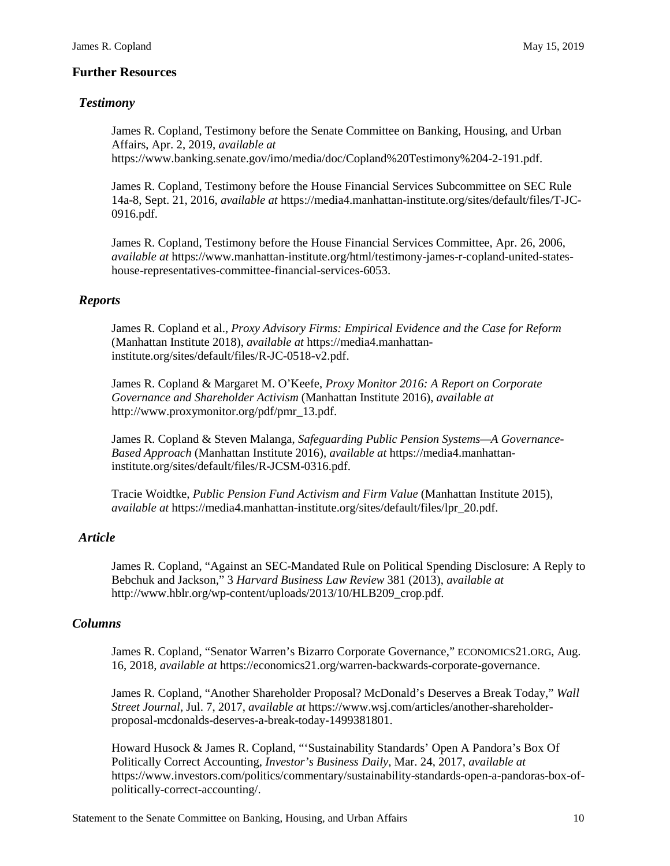#### **Further Resources**

#### *Testimony*

James R. Copland, Testimony before the Senate Committee on Banking, Housing, and Urban Affairs, Apr. 2, 2019, *available at*  https://www.banking.senate.gov/imo/media/doc/Copland%20Testimony%204-2-191.pdf.

James R. Copland, Testimony before the House Financial Services Subcommittee on SEC Rule 14a-8, Sept. 21, 2016, *available at* https://media4.manhattan-institute.org/sites/default/files/T-JC-0916.pdf.

James R. Copland, Testimony before the House Financial Services Committee, Apr. 26, 2006, *available at* https://www.manhattan-institute.org/html/testimony-james-r-copland-united-stateshouse-representatives-committee-financial-services-6053.

#### *Reports*

James R. Copland et al., *Proxy Advisory Firms: Empirical Evidence and the Case for Reform*  (Manhattan Institute 2018), *available at* https://media4.manhattaninstitute.org/sites/default/files/R-JC-0518-v2.pdf.

James R. Copland & Margaret M. O'Keefe, *Proxy Monitor 2016: A Report on Corporate Governance and Shareholder Activism* (Manhattan Institute 2016), *available at*  http://www.proxymonitor.org/pdf/pmr\_13.pdf.

James R. Copland & Steven Malanga, *Safeguarding Public Pension Systems—A Governance-Based Approach* (Manhattan Institute 2016), *available at* https://media4.manhattaninstitute.org/sites/default/files/R-JCSM-0316.pdf.

Tracie Woidtke, *Public Pension Fund Activism and Firm Value* (Manhattan Institute 2015), *available at* https://media4.manhattan-institute.org/sites/default/files/lpr\_20.pdf.

#### *Article*

James R. Copland, "Against an SEC-Mandated Rule on Political Spending Disclosure: A Reply to Bebchuk and Jackson," 3 *Harvard Business Law Review* 381 (2013), *available at*  http://www.hblr.org/wp-content/uploads/2013/10/HLB209\_crop.pdf.

#### *Columns*

James R. Copland, "Senator Warren's Bizarro Corporate Governance," ECONOMICS21.ORG, Aug. 16, 2018, *available at* https://economics21.org/warren-backwards-corporate-governance.

James R. Copland, "Another Shareholder Proposal? McDonald's Deserves a Break Today," *Wall Street Journal*, Jul. 7, 2017, *available at* https://www.wsj.com/articles/another-shareholderproposal-mcdonalds-deserves-a-break-today-1499381801.

Howard Husock & James R. Copland, "'Sustainability Standards' Open A Pandora's Box Of Politically Correct Accounting, *Investor's Business Daily*, Mar. 24, 2017, *available at*  https://www.investors.com/politics/commentary/sustainability-standards-open-a-pandoras-box-ofpolitically-correct-accounting/.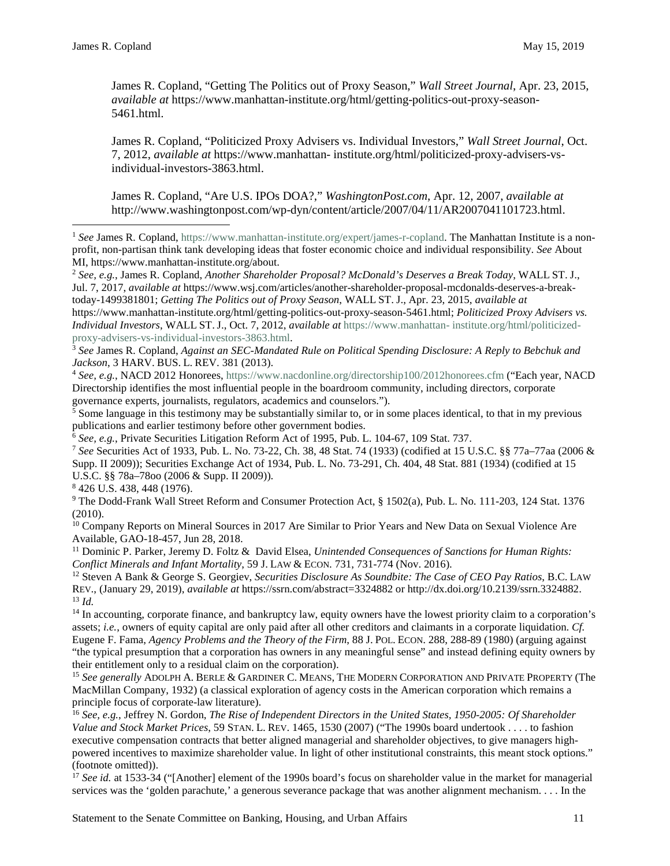$\overline{a}$ 

James R. Copland, "Getting The Politics out of Proxy Season," *Wall Street Journal*, Apr. 23, 2015, *available at* https://www.manhattan-institute.org/html/getting-politics-out-proxy-season-5461.html.

James R. Copland, "Politicized Proxy Advisers vs. Individual Investors," *Wall Street Journal*, Oct. 7, 2012, *available at* https://www.manhattan- institute.org/html/politicized-proxy-advisers-vsindividual-investors-3863.html.

James R. Copland, "Are U.S. IPOs DOA?," *WashingtonPost.com*, Apr. 12, 2007, *available at*  http://www.washingtonpost.com/wp-dyn/content/article/2007/04/11/AR2007041101723.html.

<sup>1</sup> See James R. Copland[, https://www.manhattan-institute.org/expert/james-r-copland.](https://www.manhattan-institute.org/expert/james-r-copland) The Manhattan Institute is a nonprofit, non-partisan think tank developing ideas that foster economic choice and individual responsibility. *See* About MI, https:/[/www.manhattan-institute.org/about.](http://www.manhattan-institute.org/about)

<sup>2</sup> *See, e.g.*, James R. Copland, *Another Shareholder Proposal? McDonald's Deserves a Break Today*, WALL ST. J., Jul. 7, 2017, *available at* https://www.wsj.com/articles/another-shareholder-proposal-mcdonalds-deserves-a-breaktoday-1499381801; *Getting The Politics out of Proxy Season*, WALL ST. J., Apr. 23, 2015, *available at* 

https:/[/www.manhattan-institute.org/html/getting-politics-out-proxy-season-5461.html;](http://www.manhattan-institute.org/html/getting-politics-out-proxy-season-5461.html%3B) *Politicized Proxy Advisers vs. Individual Investors*, WALL ST. J., Oct. 7, 2012, *available at* [https://www.manhattan-](https://www.manhattan-institute.org/html/politicized-proxy-advisers-vs-individual-investors-3863.html) [institute.org/html/politicized](https://www.manhattan-institute.org/html/politicized-proxy-advisers-vs-individual-investors-3863.html)[proxy-advisers-vs-individual-investors-3863.html.](https://www.manhattan-institute.org/html/politicized-proxy-advisers-vs-individual-investors-3863.html)

<sup>3</sup> *See* James R. Copland, *Against an SEC-Mandated Rule on Political Spending Disclosure: A Reply to Bebchuk and Jackson*, 3 HARV. BUS. L. REV. 381 (2013).

<sup>4</sup> *See, e.g.*, NACD 2012 Honorees[, https://www.nacdonline.org/directorship100/2012honorees.cfm](https://www.nacdonline.org/directorship100/2012honorees.cfm) ("Each year, NACD Directorship identifies the most influential people in the boardroom community, including directors, corporate governance experts, journalists, regulators, academics and counselors.").

<sup>5</sup> Some language in this testimony may be substantially similar to, or in some places identical, to that in my previous publications and earlier testimony before other government bodies.

 $\frac{6}{6}$  *See, e.g.*, Private Securities Litigation Reform Act of 1995, Pub. L. 104-67, 109 Stat. 737.

<sup>7</sup> *See* Securities Act of 1933, Pub. L. No. 73-22, Ch. 38, 48 Stat. 74 (1933) (codified at 15 U.S.C. §§ 77a–77aa (2006 & Supp. II 2009)); Securities Exchange Act of 1934, Pub. L. No. 73-291, Ch. 404, 48 Stat. 881 (1934) (codified at 15 U.S.C. §§ 78a–78oo (2006 & Supp. II 2009)).

<sup>8</sup> 426 U.S. 438, 448 (1976).

<sup>9</sup> The Dodd-Frank Wall Street Reform and Consumer Protection Act, § 1502(a), Pub. L. No. 111-203, 124 Stat. 1376 (2010).

<sup>10</sup> Company Reports on Mineral Sources in 2017 Are Similar to Prior Years and New Data on Sexual Violence Are Available, GAO-18-457, Jun 28, 2018.

<sup>11</sup> Dominic P. Parker, Jeremy D. Foltz & David Elsea, *Unintended Consequences of Sanctions for Human Rights: Conflict Minerals and Infant Mortality*, 59 J. LAW & ECON. 731, 731-774 (Nov. 2016).

<sup>12</sup> Steven A Bank & George S. Georgiev, *Securities Disclosure As Soundbite: The Case of CEO Pay Ratios*, B.C. LAW REV., (January 29, 2019), *available at* https://ssrn.com/abstract=3324882 or http://dx.doi.org/10.2139/ssrn.3324882. <sup>13</sup> *Id.*

<sup>14</sup> In accounting, corporate finance, and bankruptcy law, equity owners have the lowest priority claim to a corporation's assets; *i.e.*, owners of equity capital are only paid after all other creditors and claimants in a corporate liquidation. *Cf.* Eugene F. Fama, *Agency Problems and the Theory of the Firm*, 88 J. POL. ECON. 288, 288-89 (1980) (arguing against "the typical presumption that a corporation has owners in any meaningful sense" and instead defining equity owners by their entitlement only to a residual claim on the corporation).

<sup>15</sup> *See generally* ADOLPH A. BERLE & GARDINER C. MEANS, THE MODERN CORPORATION AND PRIVATE PROPERTY (The MacMillan Company, 1932) (a classical exploration of agency costs in the American corporation which remains a principle focus of corporate-law literature).

<sup>16</sup> *See, e.g.*, Jeffrey N. Gordon, *The Rise of Independent Directors in the United States, 1950-2005: Of Shareholder Value and Stock Market Prices*, 59 STAN. L. REV. 1465, 1530 (2007) ("The 1990s board undertook . . . . to fashion executive compensation contracts that better aligned managerial and shareholder objectives, to give managers highpowered incentives to maximize shareholder value. In light of other institutional constraints, this meant stock options." (footnote omitted)).

<sup>17</sup> *See id.* at 1533-34 ("[Another] element of the 1990s board's focus on shareholder value in the market for managerial services was the 'golden parachute,' a generous severance package that was another alignment mechanism. . . . In the